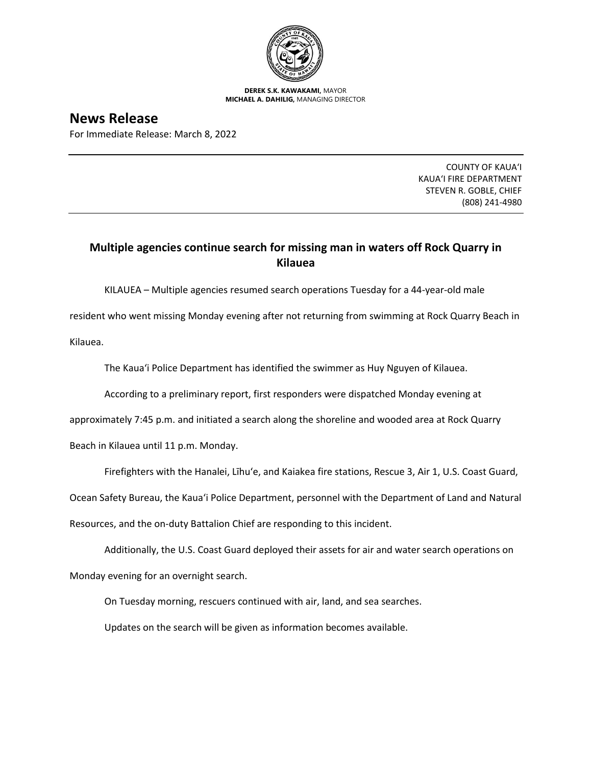

**DEREK S.K. KAWAKAMI,** MAYOR **MICHAEL A. DAHILIG,** MANAGING DIRECTOR

**News Release**

For Immediate Release: March 8, 2022

COUNTY OF KAUA'I KAUA'I FIRE DEPARTMENT STEVEN R. GOBLE, CHIEF (808) 241-4980

## **Multiple agencies continue search for missing man in waters off Rock Quarry in Kilauea**

KILAUEA – Multiple agencies resumed search operations Tuesday for a 44-year-old male

resident who went missing Monday evening after not returning from swimming at Rock Quarry Beach in Kilauea.

The Kaua'i Police Department has identified the swimmer as Huy Nguyen of Kilauea.

According to a preliminary report, first responders were dispatched Monday evening at

approximately 7:45 p.m. and initiated a search along the shoreline and wooded area at Rock Quarry

Beach in Kilauea until 11 p.m. Monday.

Firefighters with the Hanalei, Līhu'e, and Kaiakea fire stations, Rescue 3, Air 1, U.S. Coast Guard,

Ocean Safety Bureau, the Kaua'i Police Department, personnel with the Department of Land and Natural

Resources, and the on-duty Battalion Chief are responding to this incident.

Additionally, the U.S. Coast Guard deployed their assets for air and water search operations on

Monday evening for an overnight search.

On Tuesday morning, rescuers continued with air, land, and sea searches.

Updates on the search will be given as information becomes available.